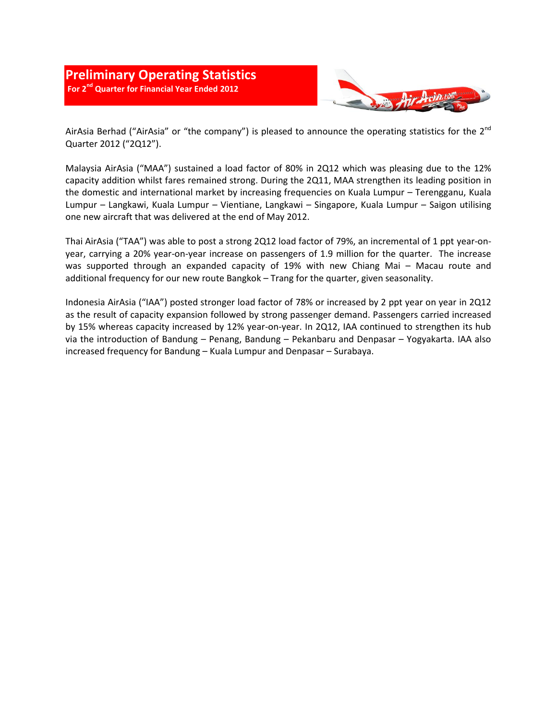

AirAsia Berhad ("AirAsia" or "the company") is pleased to announce the operating statistics for the  $2^{nd}$ Quarter 2012 ("2Q12").

Malaysia AirAsia ("MAA") sustained a load factor of 80% in 2Q12 which was pleasing due to the 12% capacity addition whilst fares remained strong. During the 2Q11, MAA strengthen its leading position in the domestic and international market by increasing frequencies on Kuala Lumpur – Terengganu, Kuala Lumpur – Langkawi, Kuala Lumpur – Vientiane, Langkawi – Singapore, Kuala Lumpur – Saigon utilising one new aircraft that was delivered at the end of May 2012.

Thai AirAsia ("TAA") was able to post a strong 2Q12 load factor of 79%, an incremental of 1 ppt year-onyear, carrying a 20% year-on-year increase on passengers of 1.9 million for the quarter. The increase was supported through an expanded capacity of 19% with new Chiang Mai – Macau route and additional frequency for our new route Bangkok – Trang for the quarter, given seasonality.

Indonesia AirAsia ("IAA") posted stronger load factor of 78% or increased by 2 ppt year on year in 2Q12 as the result of capacity expansion followed by strong passenger demand. Passengers carried increased by 15% whereas capacity increased by 12% year-on-year. In 2Q12, IAA continued to strengthen its hub via the introduction of Bandung – Penang, Bandung – Pekanbaru and Denpasar – Yogyakarta. IAA also increased frequency for Bandung – Kuala Lumpur and Denpasar – Surabaya.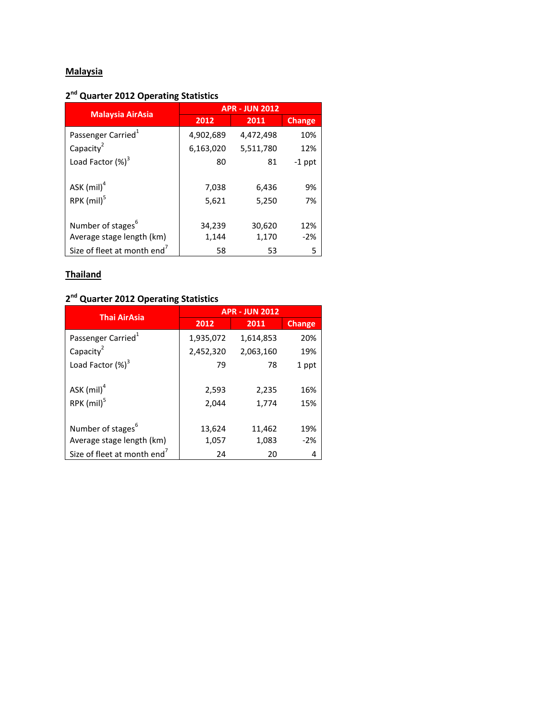# **Malaysia**

## **2 nd Quarter 2012 Operating Statistics**

| <b>Malaysia AirAsia</b>                 | <b>APR - JUN 2012</b> |           |               |
|-----------------------------------------|-----------------------|-----------|---------------|
|                                         | 2012                  | 2011      | <b>Change</b> |
| Passenger Carried <sup>1</sup>          | 4,902,689             | 4,472,498 | 10%           |
| Capacity <sup>2</sup>                   | 6,163,020             | 5,511,780 | 12%           |
| Load Factor $(\%)^3$                    | 80                    | 81        | $-1$ ppt      |
| ASK $(mil)^4$                           | 7,038                 | 6,436     | 9%            |
| RPK (mil) <sup>5</sup>                  | 5,621                 | 5,250     | 7%            |
| Number of stages <sup>6</sup>           | 34,239                | 30,620    | 12%           |
| Average stage length (km)               | 1,144                 | 1,170     | $-2%$         |
| Size of fleet at month end <sup>7</sup> | 58                    | 53        | 5             |

## **Thailand**

## **2 nd Quarter 2012 Operating Statistics**

| <b>Thai AirAsia</b>                     | <b>APR - JUN 2012</b> |           |               |
|-----------------------------------------|-----------------------|-----------|---------------|
|                                         | 2012                  | 2011      | <b>Change</b> |
| Passenger Carried <sup>1</sup>          | 1,935,072             | 1,614,853 | 20%           |
| Capacity <sup>2</sup>                   | 2,452,320             | 2,063,160 | 19%           |
| Load Factor $(\%)^3$                    | 79                    | 78        | 1 ppt         |
| ASK $(mil)^4$                           | 2,593                 | 2,235     | 16%           |
| $RPK$ (mil) <sup>5</sup>                | 2.044                 | 1,774     | 15%           |
| Number of stages <sup>6</sup>           | 13,624                | 11,462    | 19%           |
| Average stage length (km)               | 1,057                 | 1,083     | $-2%$         |
| Size of fleet at month end <sup>7</sup> | 24                    | 20        | 4             |